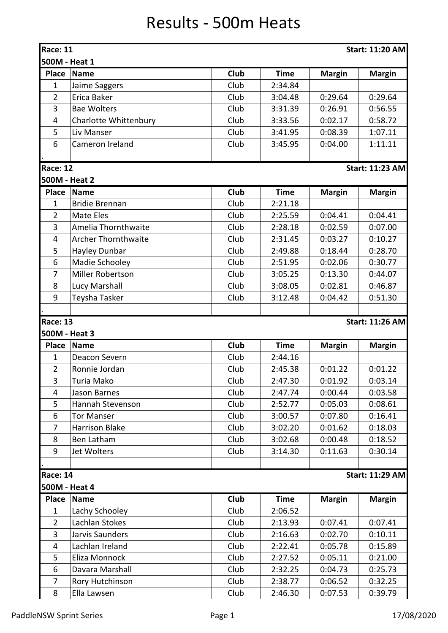## Results - 500m Heats

| <b>Race: 11</b><br><b>Start: 11:20 AM</b> |                            |             |             |               |                        |  |  |  |
|-------------------------------------------|----------------------------|-------------|-------------|---------------|------------------------|--|--|--|
| 500M - Heat 1                             |                            |             |             |               |                        |  |  |  |
| <b>Place</b>                              | <b>Name</b>                | Club        | <b>Time</b> | <b>Margin</b> | <b>Margin</b>          |  |  |  |
| $\mathbf{1}$                              | Jaime Saggers              | Club        | 2:34.84     |               |                        |  |  |  |
| $\overline{2}$                            | Erica Baker                | Club        | 3:04.48     | 0:29.64       | 0:29.64                |  |  |  |
| 3                                         | <b>Bae Wolters</b>         | Club        | 3:31.39     | 0:26.91       | 0:56.55                |  |  |  |
| $\overline{4}$                            | Charlotte Whittenbury      | Club        | 3:33.56     | 0:02.17       | 0:58.72                |  |  |  |
| 5                                         | Liv Manser                 | Club        | 3:41.95     | 0:08.39       | 1:07.11                |  |  |  |
| 6                                         | Cameron Ireland            | Club        | 3:45.95     | 0:04.00       | 1:11.11                |  |  |  |
|                                           |                            |             |             |               |                        |  |  |  |
| <b>Race: 12</b>                           |                            |             |             |               | <b>Start: 11:23 AM</b> |  |  |  |
| 500M - Heat 2                             |                            |             |             |               |                        |  |  |  |
| <b>Place</b>                              | <b>Name</b>                | <b>Club</b> | <b>Time</b> | <b>Margin</b> | <b>Margin</b>          |  |  |  |
| 1                                         | <b>Bridie Brennan</b>      | Club        | 2:21.18     |               |                        |  |  |  |
| $\overline{2}$                            | Mate Eles                  | Club        | 2:25.59     | 0:04.41       | 0:04.41                |  |  |  |
| 3                                         | Amelia Thornthwaite        | Club        | 2:28.18     | 0:02.59       | 0:07.00                |  |  |  |
| $\overline{4}$                            | <b>Archer Thornthwaite</b> | Club        | 2:31.45     | 0:03.27       | 0:10.27                |  |  |  |
| 5                                         | Hayley Dunbar              | Club        | 2:49.88     | 0:18.44       | 0:28.70                |  |  |  |
| 6                                         | Madie Schooley             | Club        | 2:51.95     | 0:02.06       | 0:30.77                |  |  |  |
| 7                                         | Miller Robertson           | Club        | 3:05.25     | 0:13.30       | 0:44.07                |  |  |  |
| 8                                         | Lucy Marshall              | Club        | 3:08.05     | 0:02.81       | 0:46.87                |  |  |  |
| 9                                         | Teysha Tasker              | Club        | 3:12.48     | 0:04.42       | 0:51.30                |  |  |  |
|                                           |                            |             |             |               |                        |  |  |  |
| <b>Race: 13</b>                           |                            |             |             |               | <b>Start: 11:26 AM</b> |  |  |  |
| 500M - Heat 3                             |                            |             |             |               |                        |  |  |  |
| Place                                     | <b>Name</b>                | <b>Club</b> | <b>Time</b> | <b>Margin</b> | <b>Margin</b>          |  |  |  |
| 1                                         | Deacon Severn              | Club        | 2:44.16     |               |                        |  |  |  |
| $\overline{2}$                            | Ronnie Jordan              | Club        | 2:45.38     | 0:01.22       | 0:01.22                |  |  |  |
| 3                                         | Turia Mako                 | Club        | 2:47.30     | 0:01.92       | 0:03.14                |  |  |  |
| 4                                         | Jason Barnes               | Club        | 2:47.74     | 0:00.44       | 0:03.58                |  |  |  |
| 5                                         | Hannah Stevenson           | Club        | 2:52.77     | 0:05.03       | 0:08.61                |  |  |  |
| 6                                         | <b>Tor Manser</b>          | Club        | 3:00.57     | 0:07.80       | 0:16.41                |  |  |  |
| $\overline{7}$                            | <b>Harrison Blake</b>      | Club        | 3:02.20     | 0:01.62       | 0:18.03                |  |  |  |
| 8                                         | Ben Latham                 | Club        | 3:02.68     | 0:00.48       | 0:18.52                |  |  |  |
| 9                                         | Jet Wolters                | Club        | 3:14.30     | 0:11.63       | 0:30.14                |  |  |  |
|                                           |                            |             |             |               |                        |  |  |  |
| <b>Race: 14</b>                           |                            |             |             |               | <b>Start: 11:29 AM</b> |  |  |  |
| 500M - Heat 4                             |                            |             |             |               |                        |  |  |  |
| Place                                     | Name                       | <b>Club</b> | <b>Time</b> | <b>Margin</b> | <b>Margin</b>          |  |  |  |
| 1                                         | Lachy Schooley             | Club        | 2:06.52     |               |                        |  |  |  |
| $\overline{2}$                            | Lachlan Stokes             | Club        | 2:13.93     | 0:07.41       | 0:07.41                |  |  |  |
| 3                                         | Jarvis Saunders            | Club        | 2:16.63     | 0:02.70       | 0:10.11                |  |  |  |
| $\overline{4}$                            | Lachlan Ireland            | Club        | 2:22.41     | 0:05.78       | 0:15.89                |  |  |  |
| 5                                         | Eliza Monnock              | Club        | 2:27.52     | 0:05.11       | 0:21.00                |  |  |  |
| 6                                         | Davara Marshall            | Club        | 2:32.25     | 0:04.73       | 0:25.73                |  |  |  |
| $\overline{7}$                            | Rory Hutchinson            | Club        | 2:38.77     | 0:06.52       | 0:32.25                |  |  |  |
| 8                                         | Ella Lawsen                | Club        | 2:46.30     | 0:07.53       | 0:39.79                |  |  |  |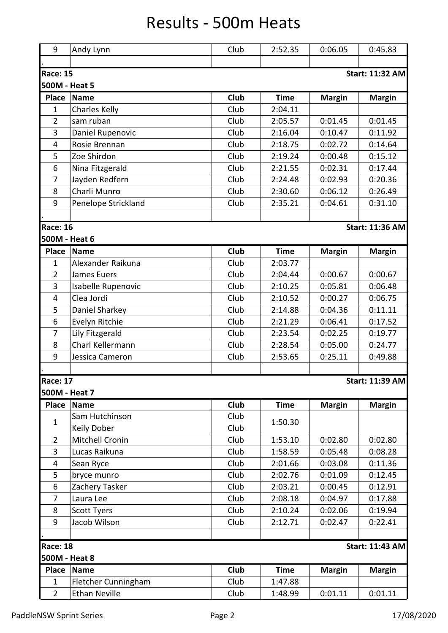## Results - 500m Heats

| 9                                         | Andy Lynn            | Club | 2:52.35     | 0:06.05       | 0:45.83                |  |  |  |
|-------------------------------------------|----------------------|------|-------------|---------------|------------------------|--|--|--|
|                                           |                      |      |             |               |                        |  |  |  |
| <b>Race: 15</b><br><b>Start: 11:32 AM</b> |                      |      |             |               |                        |  |  |  |
| 500M - Heat 5                             |                      |      |             |               |                        |  |  |  |
| <b>Place</b>                              | <b>Name</b>          | Club | <b>Time</b> | <b>Margin</b> | <b>Margin</b>          |  |  |  |
| $\mathbf{1}$                              | <b>Charles Kelly</b> | Club | 2:04.11     |               |                        |  |  |  |
| $\overline{2}$                            | sam ruban            | Club | 2:05.57     | 0:01.45       | 0:01.45                |  |  |  |
| 3                                         | Daniel Rupenovic     | Club | 2:16.04     | 0:10.47       | 0:11.92                |  |  |  |
| 4                                         | Rosie Brennan        | Club | 2:18.75     | 0:02.72       | 0:14.64                |  |  |  |
| 5                                         | Zoe Shirdon          | Club | 2:19.24     | 0:00.48       | 0:15.12                |  |  |  |
| 6                                         | Nina Fitzgerald      | Club | 2:21.55     | 0:02.31       | 0:17.44                |  |  |  |
| $\overline{7}$                            | Jayden Redfern       | Club | 2:24.48     | 0:02.93       | 0:20.36                |  |  |  |
| 8                                         | Charli Munro         | Club | 2:30.60     | 0:06.12       | 0:26.49                |  |  |  |
| 9                                         | Penelope Strickland  | Club | 2:35.21     | 0:04.61       | 0:31.10                |  |  |  |
|                                           |                      |      |             |               |                        |  |  |  |
| <b>Race: 16</b>                           |                      |      |             |               | <b>Start: 11:36 AM</b> |  |  |  |
| 500M - Heat 6                             |                      |      |             |               |                        |  |  |  |
| Place                                     | <b>Name</b>          | Club | <b>Time</b> | <b>Margin</b> | <b>Margin</b>          |  |  |  |
| $\mathbf{1}$                              | Alexander Raikuna    | Club | 2:03.77     |               |                        |  |  |  |
| $\overline{2}$                            | James Euers          | Club | 2:04.44     | 0:00.67       | 0:00.67                |  |  |  |
| 3                                         | Isabelle Rupenovic   | Club | 2:10.25     | 0:05.81       | 0:06.48                |  |  |  |
| 4                                         | Clea Jordi           | Club | 2:10.52     | 0:00.27       | 0:06.75                |  |  |  |
| 5                                         | Daniel Sharkey       | Club | 2:14.88     | 0:04.36       | 0:11.11                |  |  |  |
| 6                                         | Evelyn Ritchie       | Club | 2:21.29     | 0:06.41       | 0:17.52                |  |  |  |
| 7                                         | Lily Fitzgerald      | Club | 2:23.54     | 0:02.25       | 0:19.77                |  |  |  |
| 8                                         | Charl Kellermann     | Club | 2:28.54     | 0:05.00       | 0:24.77                |  |  |  |
| 9                                         | Jessica Cameron      | Club | 2:53.65     | 0:25.11       | 0:49.88                |  |  |  |
|                                           |                      |      |             |               |                        |  |  |  |
| <b>Race: 17</b>                           |                      |      |             |               | <b>Start: 11:39 AM</b> |  |  |  |
| 500M - Heat 7                             |                      |      |             |               |                        |  |  |  |
| Place                                     | <b>Name</b>          | Club | <b>Time</b> | <b>Margin</b> | <b>Margin</b>          |  |  |  |
| $\mathbf{1}$                              | Sam Hutchinson       | Club | 1:50.30     |               |                        |  |  |  |
|                                           | Keily Dober          | Club |             |               |                        |  |  |  |
| $\overline{2}$                            | Mitchell Cronin      | Club | 1:53.10     | 0:02.80       | 0:02.80                |  |  |  |
| 3                                         | Lucas Raikuna        | Club | 1:58.59     | 0:05.48       | 0:08.28                |  |  |  |
| 4                                         | Sean Ryce            | Club | 2:01.66     | 0:03.08       | 0:11.36                |  |  |  |
| 5                                         | bryce munro          | Club | 2:02.76     | 0:01.09       | 0:12.45                |  |  |  |
| 6                                         | Zachery Tasker       | Club | 2:03.21     | 0:00.45       | 0:12.91                |  |  |  |
| 7                                         | Laura Lee            | Club | 2:08.18     | 0:04.97       | 0:17.88                |  |  |  |
| 8                                         | <b>Scott Tyers</b>   | Club | 2:10.24     | 0:02.06       | 0:19.94                |  |  |  |
| 9                                         | Jacob Wilson         | Club | 2:12.71     | 0:02.47       | 0:22.41                |  |  |  |
|                                           |                      |      |             |               |                        |  |  |  |
| <b>Race: 18</b>                           |                      |      |             |               | <b>Start: 11:43 AM</b> |  |  |  |
| 500M - Heat 8                             |                      |      |             |               |                        |  |  |  |
| <b>Place</b>                              | <b>Name</b>          | Club | <b>Time</b> | <b>Margin</b> | <b>Margin</b>          |  |  |  |
| $\mathbf{1}$                              | Fletcher Cunningham  | Club | 1:47.88     |               |                        |  |  |  |
| $\overline{2}$                            | <b>Ethan Neville</b> | Club | 1:48.99     | 0:01.11       | 0:01.11                |  |  |  |